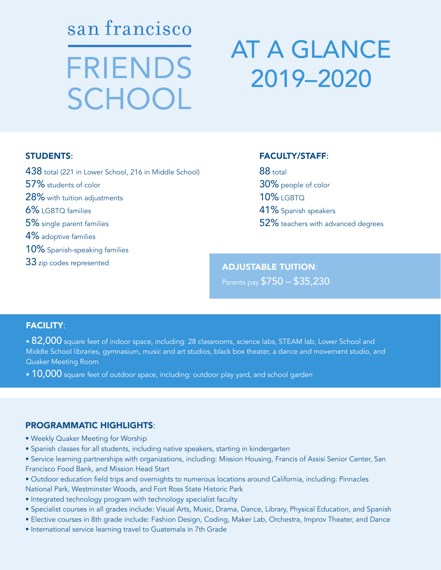san francisco **FRIENDS** SCHOOL

# AT A GLANCE 2019–2020

#### STUDENTS:

438 total (221 in Lower School, 216 in Middle School) 57% students of color 28% with tuition adjustments 6% LGBTQ families 5% single parent families 4% adoptive families 10% Spanish-speaking families 33 zip codes represented

#### FACULTY/STAFF:

88 total 30% people of color 10% **LGBTO** 41% Spanish speakers 52% teachers with advanced degrees

## ADJUSTABLE TUITION:

Parents pay \$750 – \$35,230

### FACILITY:

 $\bullet$  82,000 square feet of indoor space, including: 28 classrooms, science labs, STEAM lab, Lower School and Middle School libraries, gymnasium, music and art studios, black box theater, a dance and movement studio, and Quaker Meeting Room

 $\bullet$  10,000 square feet of outdoor space, including: outdoor play yard, and school garden

### PROGRAMMATIC HIGHLIGHTS:

- Weekly Quaker Meeting for Worship
- Spanish classes for all students, including native speakers, starting in kindergarten
- Service learning partnerships with organizations, including: Mission Housing, Francis of Assisi Senior Center, San Francisco Food Bank, and Mission Head Start
- Outdoor education field trips and overnights to numerous locations around California, including: Pinnacles National Park, Westminster Woods, and Fort Ross State Historic Park
- Integrated technology program with technology specialist faculty
- Specialist courses in all grades include: Visual Arts, Music, Drama, Dance, Library, Physical Education, and Spanish
- Elective courses in 8th grade include: Fashion Design, Coding, Maker Lab, Orchestra, Improv Theater, and Dance
- International service learning travel to Guatemala in 7th Grade